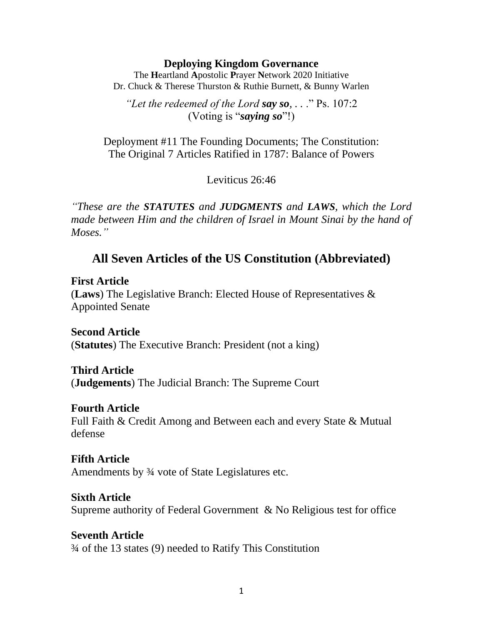#### **Deploying Kingdom Governance**

The **H**eartland **A**postolic **P**rayer **N**etwork 2020 Initiative Dr. Chuck & Therese Thurston & Ruthie Burnett, & Bunny Warlen

*"Let the redeemed of the Lord say so, . .* ." Ps. 107:2 (Voting is "*saying so*"!)

Deployment #11 The Founding Documents; The Constitution: The Original 7 Articles Ratified in 1787: Balance of Powers

Leviticus 26:46

*"These are the STATUTES and JUDGMENTS and LAWS, which the Lord*  made between Him and the children of Israel in Mount Sinai by the hand of *Moses."*

# **All Seven Articles of the US Constitution (Abbreviated)**

**First Article** (**Laws**) The Legislative Branch: Elected House of Representatives & Appointed Senate

**Second Article** (**Statutes**) The Executive Branch: President (not a king)

## **Third Article**

(**Judgements**) The Judicial Branch: The Supreme Court

### **Fourth Article**

Full Faith & Credit Among and Between each and every State & Mutual defense

### **Fifth Article**

Amendments by ¾ vote of State Legislatures etc.

### **Sixth Article**

Supreme authority of Federal Government & No Religious test for office

## **Seventh Article**

¾ of the 13 states (9) needed to Ratify This Constitution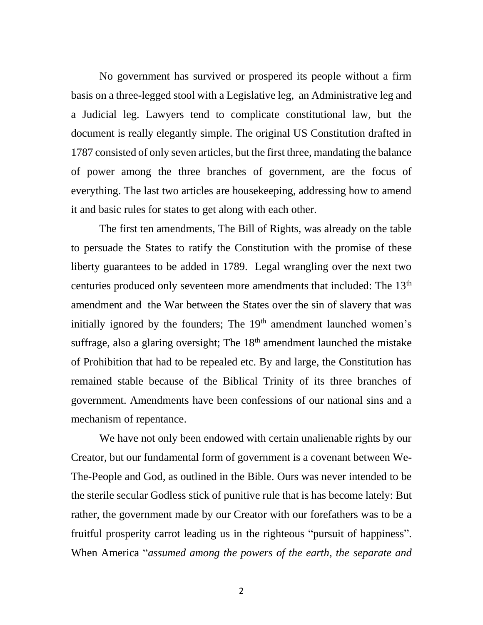No government has survived or prospered its people without a firm basis on a three-legged stool with a Legislative leg, an Administrative leg and a Judicial leg. Lawyers tend to complicate constitutional law, but the document is really elegantly simple. The original US Constitution drafted in 1787 consisted of only seven articles, but the first three, mandating the balance of power among the three branches of government, are the focus of everything. The last two articles are housekeeping, addressing how to amend it and basic rules for states to get along with each other.

The first ten amendments, The Bill of Rights, was already on the table to persuade the States to ratify the Constitution with the promise of these liberty guarantees to be added in 1789. Legal wrangling over the next two centuries produced only seventeen more amendments that included: The 13<sup>th</sup> amendment and the War between the States over the sin of slavery that was initially ignored by the founders; The  $19<sup>th</sup>$  amendment launched women's suffrage, also a glaring oversight; The  $18<sup>th</sup>$  amendment launched the mistake of Prohibition that had to be repealed etc. By and large, the Constitution has remained stable because of the Biblical Trinity of its three branches of government. Amendments have been confessions of our national sins and a mechanism of repentance.

We have not only been endowed with certain unalienable rights by our Creator, but our fundamental form of government is a covenant between We-The-People and God, as outlined in the Bible. Ours was never intended to be the sterile secular Godless stick of punitive rule that is has become lately: But rather, the government made by our Creator with our forefathers was to be a fruitful prosperity carrot leading us in the righteous "pursuit of happiness". When America "*assumed among the powers of the earth, the separate and*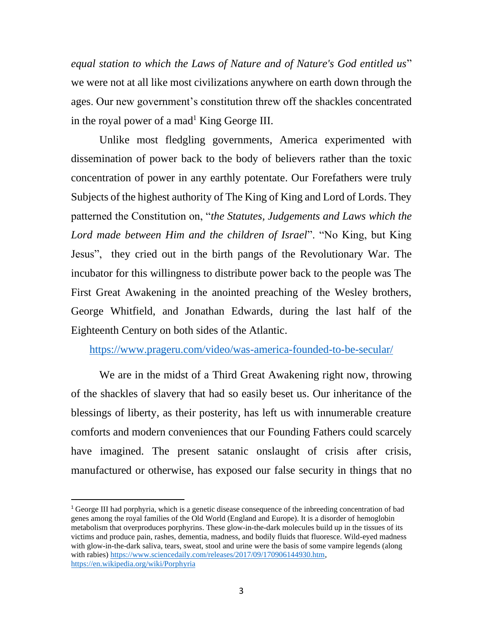*equal station to which the Laws of Nature and of Nature's God entitled us*" we were not at all like most civilizations anywhere on earth down through the ages. Our new government's constitution threw off the shackles concentrated in the royal power of a mad<sup>1</sup> King George III.

Unlike most fledgling governments, America experimented with dissemination of power back to the body of believers rather than the toxic concentration of power in any earthly potentate. Our Forefathers were truly Subjects of the highest authority of The King of King and Lord of Lords. They patterned the Constitution on, "*the Statutes, Judgements and Laws which the Lord made between Him and the children of Israel*". "No King, but King Jesus", they cried out in the birth pangs of the Revolutionary War. The incubator for this willingness to distribute power back to the people was The First Great Awakening in the anointed preaching of the Wesley brothers, George Whitfield, and Jonathan Edwards, during the last half of the Eighteenth Century on both sides of the Atlantic.

<https://www.prageru.com/video/was-america-founded-to-be-secular/>

We are in the midst of a Third Great Awakening right now, throwing of the shackles of slavery that had so easily beset us. Our inheritance of the blessings of liberty, as their posterity, has left us with innumerable creature comforts and modern conveniences that our Founding Fathers could scarcely have imagined. The present satanic onslaught of crisis after crisis, manufactured or otherwise, has exposed our false security in things that no

<sup>1</sup> George III had porphyria, which is a genetic disease consequence of the inbreeding concentration of bad genes among the royal families of the Old World (England and Europe). It is a disorder of hemoglobin metabolism that overproduces porphyrins. These glow-in-the-dark molecules build up in the tissues of its victims and produce pain, rashes, dementia, madness, and bodily fluids that fluoresce. Wild-eyed madness with glow-in-the-dark saliva, tears, sweat, stool and urine were the basis of some vampire legends (along with rabies) [https://www.sciencedaily.com/releases/2017/09/170906144930.htm,](https://www.sciencedaily.com/releases/2017/09/170906144930.htm) <https://en.wikipedia.org/wiki/Porphyria>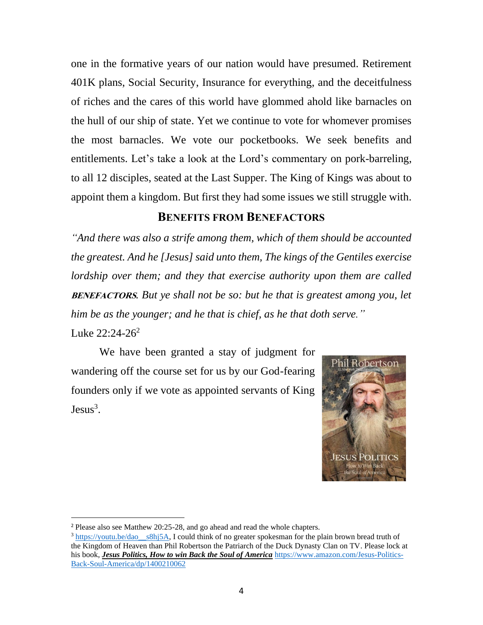one in the formative years of our nation would have presumed. Retirement 401K plans, Social Security, Insurance for everything, and the deceitfulness of riches and the cares of this world have glommed ahold like barnacles on the hull of our ship of state. Yet we continue to vote for whomever promises the most barnacles. We vote our pocketbooks. We seek benefits and entitlements. Let's take a look at the Lord's commentary on pork-barreling, to all 12 disciples, seated at the Last Supper. The King of Kings was about to appoint them a kingdom. But first they had some issues we still struggle with.

## **BENEFITS FROM BENEFACTORS**

*"And there was also a strife among them, which of them should be accounted the greatest. And he [Jesus] said unto them, The kings of the Gentiles exercise lordship over them; and they that exercise authority upon them are called*  **BENEFACTORS***. But ye shall not be so: but he that is greatest among you, let him be as the younger; and he that is chief, as he that doth serve."* Luke  $22:24-26^2$ 

We have been granted a stay of judgment for wandering off the course set for us by our God-fearing founders only if we vote as appointed servants of King  $Jesus<sup>3</sup>$ .



<sup>&</sup>lt;sup>2</sup> Please also see Matthew 20:25-28, and go ahead and read the whole chapters.

 $3 \frac{\text{https://youtu.be/dao}}{\text{https://youtu.be/dao}}$ , I could think of no greater spokesman for the plain brown bread truth of the Kingdom of Heaven than Phil Robertson the Patriarch of the Duck Dynasty Clan on TV. Please lock at his book, *Jesus Politics, How to win Back the Soul of America* [https://www.amazon.com/Jesus-Politics-](https://www.amazon.com/Jesus-Politics-Back-Soul-America/dp/1400210062)[Back-Soul-America/dp/1400210062](https://www.amazon.com/Jesus-Politics-Back-Soul-America/dp/1400210062)